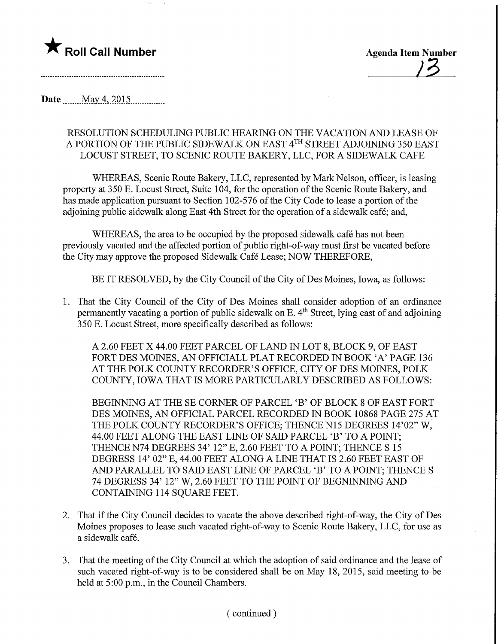

Date ........May. 4,2015,

## RESOLUTION SCHEDULING PUBLIC HEARING ON THE VACATION AND LEASE OF A PORTION OF THE PUBLIC SIDEWALK ON EAST 4™ STREET ADJOINING 350 EAST LOCUST STREET, TO SCENIC ROUTE BAKERY, LLC, FOR A SIDEWALK CAFE

WHEREAS, Scenic Route Bakery, LLC, represented by Mark Nelson, officer, is leasing property at 350 E. Locust Street, Suite 104, for the operation of the Scenic Route Bakery, and has made application pursuant to Section 102-576 of the City Code to lease a portion of the adjoining public sidewalk along East 4th Street for the operation of a sidewalk cafe; and,

WHEREAS, the area to be occupied by the proposed sidewalk café has not been previously vacated and the affected portion of public right-of-way must first be vacated before the City may approve the proposed Sidewalk Cafe Lease; NOW THEREFORE,

BE IT RESOLVED, by the City Council of the City of Des Moines, Iowa, as follows:

1. That the City Council of the City of Des Moines shall consider adoption of an ordinance permanently vacating a portion of public sidewalk on E.  $4<sup>th</sup>$  Street, lying east of and adjoining 350 E. Locust Street, more specifically described as follows:

A 2.60 FEET X 44.00 FEET PARCEL OF LAND IN LOT 8, BLOCK 9, OF EAST FORT DES MOINES, AN OFFICIALL PLAT RECORDED IN BOOK 'A' PAGE 136 AT THE POLK COUNTY RECORDER'S OFFICE, CITY OF DES MOINES, POLK COUNTY, IOWA THAT IS MORE PARTICULARLY DESCRIBED AS FOLLOWS:

BEGINNING AT THE SE CORNER OF PARCEL 'B' OF BLOCK 8 OF EAST FORT DES MOINES, AN OFFICIAL PARCEL RECORDED IN BOOK 10868 PAGE 275 AT THE POLK COUNTY RECORDER'S OFFICE; THENCE N15 DEGREES 14'02" W, 44.00 FEET ALONG THE EAST LINE OF SAID PARCEL 'B' TO A POINT; THENCE N74 DEGREES 34' 12" E, 2.60 FEET TO A POINT; THENCE S 15 DEGRESS 14' 02" E, 44.00 FEET ALONG A LINE THAT IS 2.60 FEET EAST OF AND PARALLEL TO SAID EAST LINE OF PARCEL 'B' TO A POINT; THENCE S 74 DEGRESS 34' 12" W, 2.60 FEET TO THE POINT OF BEGNINNING AND CONTAINING 114 SQUARE FEET.

- 2. That if the City Council decides to vacate the above described right-of-way, the City of Des Moines proposes to lease such vacated right-of-way to Scenic Route Bakery, LLC, for use as a sidewalk cafe.
- 3. That the meeting of the City Council at which the adoption of said ordinance and the lease of such vacated right-of-way is to be considered shall be on May 18, 2015, said meeting to be held at 5:00 p.m., in the Council Chambers.